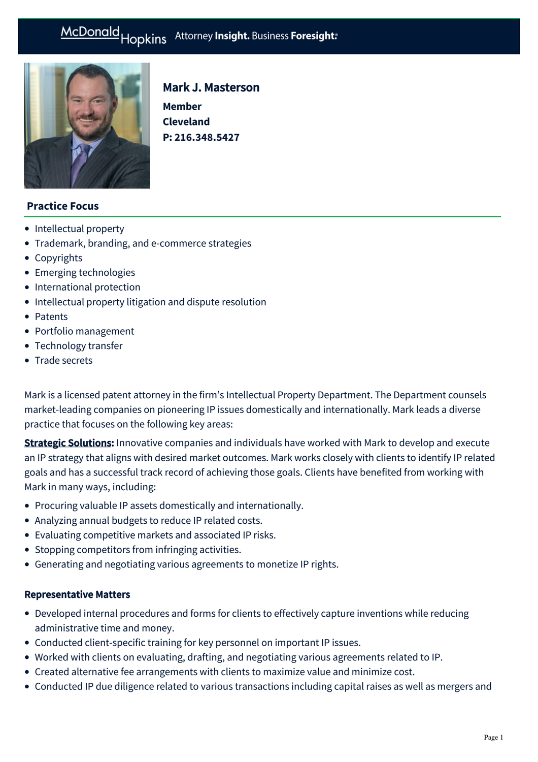# McDonald Hopkins Attorney Insight. Business Foresight:



# Mark J. Masterson

**Member Cleveland P: [216.348.5427](tel:216.348.5427)**

# **Practice Focus**

- [Intellectual property](https://mcdonaldhopkins.com/Expertise/Intellectual-property)
- [Trademark, branding, and e-commerce strategies](https://mcdonaldhopkins.com/Expertise/Intellectual-property/trademark-branding-ecommerce-strategies)
- [Copyrights](https://mcdonaldhopkins.com/Expertise/Intellectual-property/Copyrights)
- [Emerging technologies](https://mcdonaldhopkins.com/Expertise/Intellectual-property/Emerging-technologies)
- [International protection](https://mcdonaldhopkins.com/Expertise/Intellectual-property/International-protection)
- [Intellectual property litigation and dispute resolution](https://mcdonaldhopkins.com/Expertise/Intellectual-property/Intellectual-property-litigation-and-dispute-resol)
- [Patents](https://mcdonaldhopkins.com/Expertise/Intellectual-property/Patents)
- [Portfolio management](https://mcdonaldhopkins.com/Expertise/Intellectual-property/Portfolio-management)
- [Technology transfer](https://mcdonaldhopkins.com/Expertise/Intellectual-property/Technology-transfer)
- [Trade secrets](https://mcdonaldhopkins.com/Expertise/Intellectual-property/Trade-secrets)

Mark is a licensed patent attorney in the firm's Intellectual Property Department. The Department counsels market-leading companies on pioneering IP issues domestically and internationally. Mark leads a diverse practice that focuses on the following key areas:

**Strategic Solutions:** Innovative companies and individuals have worked with Mark to develop and execute an IP strategy that aligns with desired market outcomes. Mark works closely with clients to identify IP related goals and has a successful track record of achieving those goals. Clients have benefited from working with Mark in many ways, including:

- Procuring valuable IP assets domestically and internationally.
- Analyzing annual budgets to reduce IP related costs.
- Evaluating competitive markets and associated IP risks.
- Stopping competitors from infringing activities.
- Generating and negotiating various agreements to monetize IP rights.

#### Representative Matters

- Developed internal procedures and forms for clients to effectively capture inventions while reducing administrative time and money.
- Conducted client-specific training for key personnel on important IP issues.
- Worked with clients on evaluating, drafting, and negotiating various agreements related to IP.
- Created alternative fee arrangements with clients to maximize value and minimize cost.
- Conducted IP due diligence related to various transactions including capital raises as well as mergers and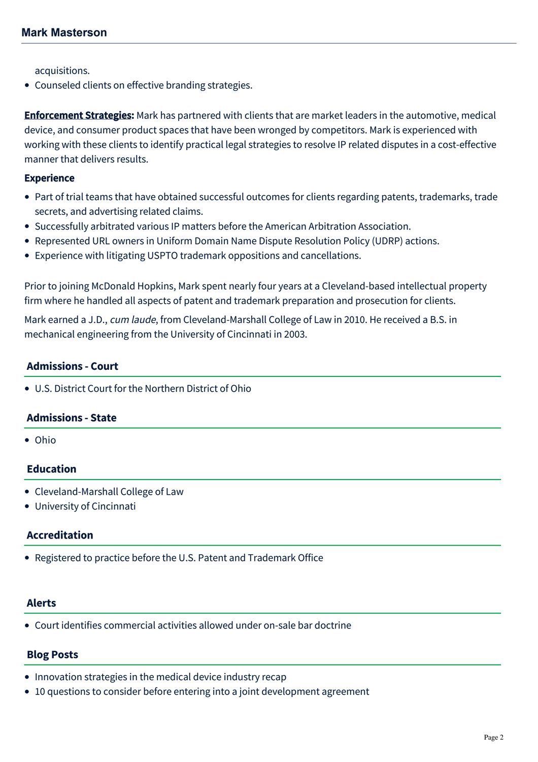acquisitions.

Counseled clients on effective branding strategies.

**Enforcement Strategies:** Mark has partnered with clients that are market leaders in the automotive, medical device, and consumer product spaces that have been wronged by competitors. Mark is experienced with working with these clients to identify practical legal strategies to resolve IP related disputes in a cost-effective manner that delivers results.

#### **Experience**

- Part of trial teams that have obtained successful outcomes for clients regarding patents, trademarks, trade secrets, and advertising related claims.
- Successfully arbitrated various IP matters before the American Arbitration Association.
- Represented URL owners in Uniform Domain Name Dispute Resolution Policy (UDRP) actions.
- Experience with litigating USPTO trademark oppositions and cancellations.

Prior to joining McDonald Hopkins, Mark spent nearly four years at a Cleveland-based intellectual property firm where he handled all aspects of patent and trademark preparation and prosecution for clients.

Mark earned a J.D., cum laude, from Cleveland-Marshall College of Law in 2010. He received a B.S. in mechanical engineering from the University of Cincinnati in 2003.

#### **Admissions - Court**

U.S. District Court for the Northern District of Ohio

#### **Admissions - State**

Ohio

#### **Education**

- Cleveland-Marshall College of Law
- University of Cincinnati

#### **Accreditation**

Registered to practice before the U.S. Patent and Trademark Office

#### **Alerts**

[Court identifies commercial activities allowed under on-sale bar doctrine](https://mcdonaldhopkins.com/Insights/July-2016/Court-identifies-commercial-activities-allowed-und)

# **Blog Posts**

- [Innovation strategies in the medical device industry recap](https://mcdonaldhopkins.com/Insights/April-2021/Innovation-strategies-in-the-medical-device-indust)
- [10 questions to consider before entering into a joint development agreement](https://mcdonaldhopkins.com/Insights/August-2018/10-questions-to-consider-before-entering-into-a-jo)